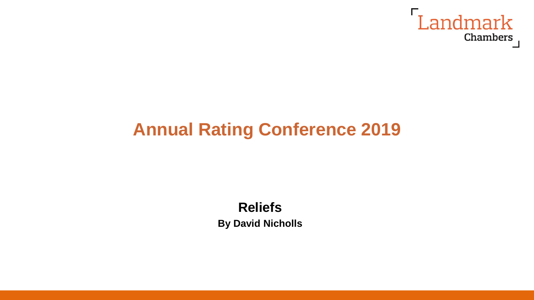

# **Annual Rating Conference 2019**

# **Reliefs**

**By David Nicholls**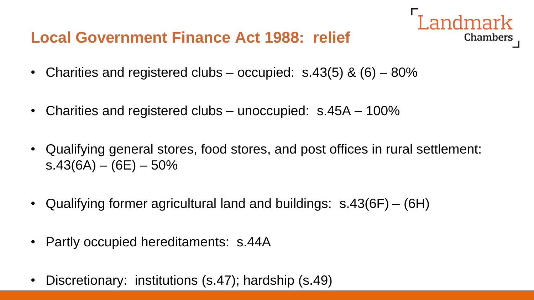### **Local Government Finance Act 1988: relief**

- Charities and registered clubs occupied:  $s.43(5)$  &  $(6)$   $80\%$
- Charities and registered clubs unoccupied: s.45A 100%
- Qualifying general stores, food stores, and post offices in rural settlement:  $s.43(6A) - (6E) - 50\%$

- Qualifying former agricultural land and buildings: s.43(6F) (6H)
- Partly occupied hereditaments: s.44A
- Discretionary: institutions (s.47); hardship (s.49)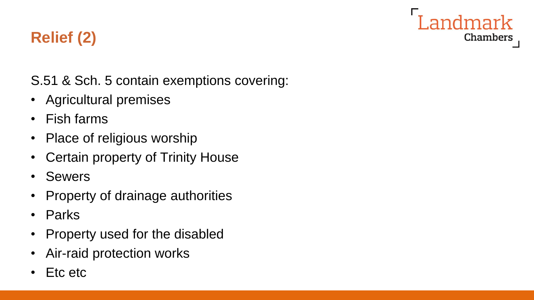

## **Relief (2)**

S.51 & Sch. 5 contain exemptions covering:

- Agricultural premises
- Fish farms
- Place of religious worship
- Certain property of Trinity House
- Sewers
- Property of drainage authorities
- Parks
- Property used for the disabled
- Air-raid protection works
- Etc etc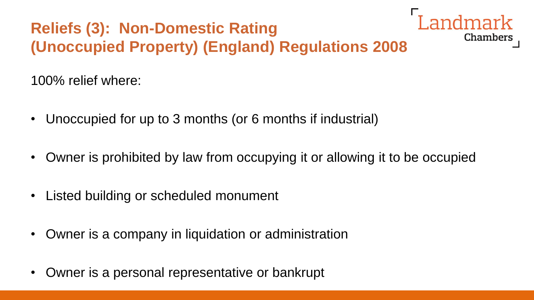# **Reliefs (3): Non-Domestic Rating (Unoccupied Property) (England) Regulations 2008**

100% relief where:

- Unoccupied for up to 3 months (or 6 months if industrial)
- Owner is prohibited by law from occupying it or allowing it to be occupied

- Listed building or scheduled monument
- Owner is a company in liquidation or administration
- Owner is a personal representative or bankrupt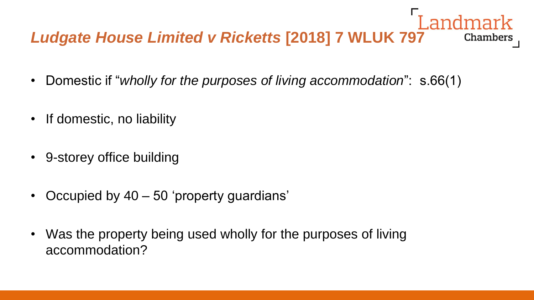#### Landmark *Ludgate House Limited v Ricketts* **[2018] 7 WLUK 797** Chambers

- Domestic if "*wholly for the purposes of living accommodation*": s.66(1)
- If domestic, no liability
- 9-storey office building
- Occupied by 40 50 'property guardians'
- Was the property being used wholly for the purposes of living accommodation?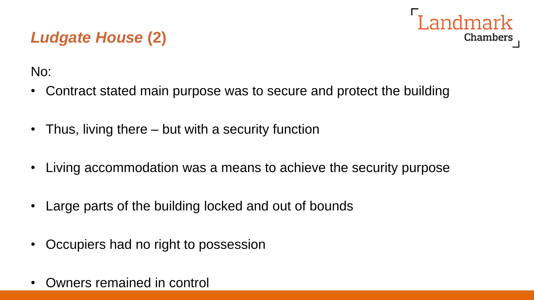## Landmark Chambers

## *Ludgate House* **(2)**

No:

- Contract stated main purpose was to secure and protect the building
- Thus, living there but with a security function
- Living accommodation was a means to achieve the security purpose
- Large parts of the building locked and out of bounds
- Occupiers had no right to possession
- Owners remained in control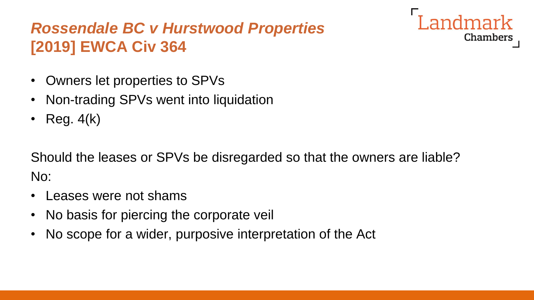## *Rossendale BC v Hurstwood Properties* **[2019] EWCA Civ 364**

- Owners let properties to SPVs
- Non-trading SPVs went into liquidation
- Reg.  $4(k)$

Should the leases or SPVs be disregarded so that the owners are liable? No:

- Leases were not shams
- No basis for piercing the corporate veil
- No scope for a wider, purposive interpretation of the Act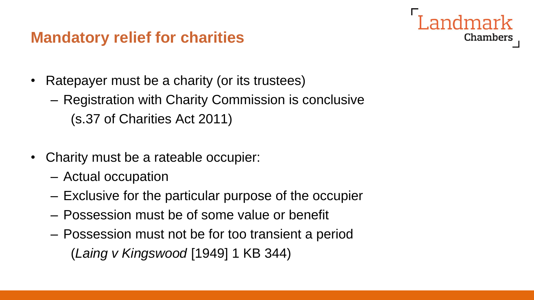#### **Mandatory relief for charities**

- Ratepayer must be a charity (or its trustees)
	- Registration with Charity Commission is conclusive (s.37 of Charities Act 2011)

- Charity must be a rateable occupier:
	- Actual occupation
	- Exclusive for the particular purpose of the occupier
	- Possession must be of some value or benefit
	- Possession must not be for too transient a period (*Laing v Kingswood* [1949] 1 KB 344)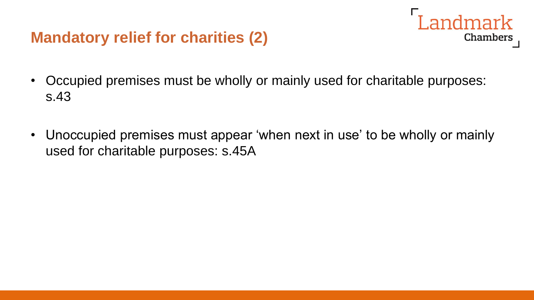#### **Mandatory relief for charities (2)**



- Occupied premises must be wholly or mainly used for charitable purposes: s.43
- Unoccupied premises must appear 'when next in use' to be wholly or mainly used for charitable purposes: s.45A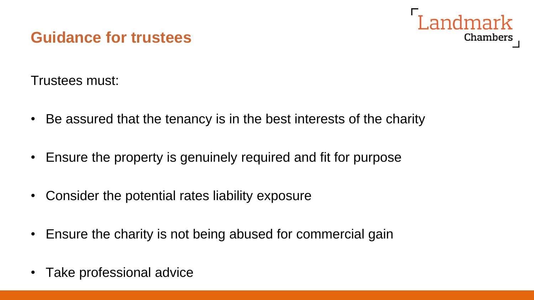#### **Guidance for trustees**



Trustees must:

- Be assured that the tenancy is in the best interests of the charity
- Ensure the property is genuinely required and fit for purpose
- Consider the potential rates liability exposure
- Ensure the charity is not being abused for commercial gain
- Take professional advice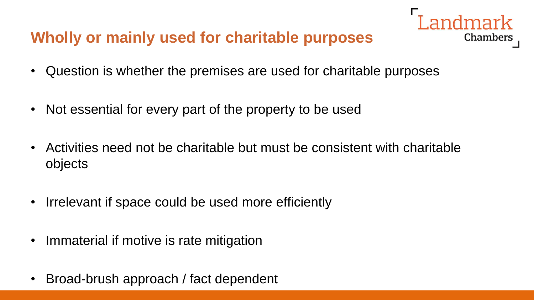### **Wholly or mainly used for charitable purposes**

- Chambers
- Question is whether the premises are used for charitable purposes
- Not essential for every part of the property to be used
- Activities need not be charitable but must be consistent with charitable objects
- Irrelevant if space could be used more efficiently
- Immaterial if motive is rate mitigation
- Broad-brush approach / fact dependent